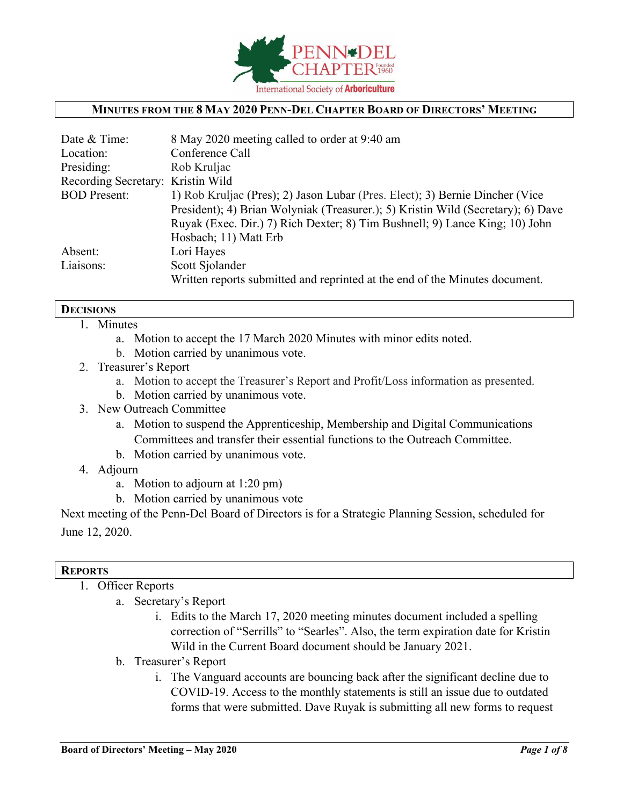

### **MINUTES FROM THE 8 MAY 2020 PENN-DEL CHAPTER BOARD OF DIRECTORS' MEETING**

| 8 May 2020 meeting called to order at 9:40 am                                    |
|----------------------------------------------------------------------------------|
| Conference Call                                                                  |
| Rob Kruljac                                                                      |
| Recording Secretary: Kristin Wild                                                |
| 1) Rob Kruljac (Pres); 2) Jason Lubar (Pres. Elect); 3) Bernie Dincher (Vice     |
| President); 4) Brian Wolyniak (Treasurer.); 5) Kristin Wild (Secretary); 6) Dave |
| Ruyak (Exec. Dir.) 7) Rich Dexter; 8) Tim Bushnell; 9) Lance King; 10) John      |
| Hosbach; 11) Matt Erb                                                            |
| Lori Hayes                                                                       |
| Scott Sjolander                                                                  |
| Written reports submitted and reprinted at the end of the Minutes document.      |
|                                                                                  |

#### **DECISIONS**

- 1. Minutes
	- a. Motion to accept the 17 March 2020 Minutes with minor edits noted.
	- b. Motion carried by unanimous vote.
- 2. Treasurer's Report
	- a. Motion to accept the Treasurer's Report and Profit/Loss information as presented.
	- b. Motion carried by unanimous vote.
- 3. New Outreach Committee
	- a. Motion to suspend the Apprenticeship, Membership and Digital Communications Committees and transfer their essential functions to the Outreach Committee.
	- b. Motion carried by unanimous vote.
- 4. Adjourn
	- a. Motion to adjourn at 1:20 pm)
	- b. Motion carried by unanimous vote

Next meeting of the Penn-Del Board of Directors is for a Strategic Planning Session, scheduled for June 12, 2020.

#### **REPORTS**

- 1. Officer Reports
	- a. Secretary's Report
		- i. Edits to the March 17, 2020 meeting minutes document included a spelling correction of "Serrills" to "Searles". Also, the term expiration date for Kristin Wild in the Current Board document should be January 2021.
	- b. Treasurer's Report
		- i. The Vanguard accounts are bouncing back after the significant decline due to COVID-19. Access to the monthly statements is still an issue due to outdated forms that were submitted. Dave Ruyak is submitting all new forms to request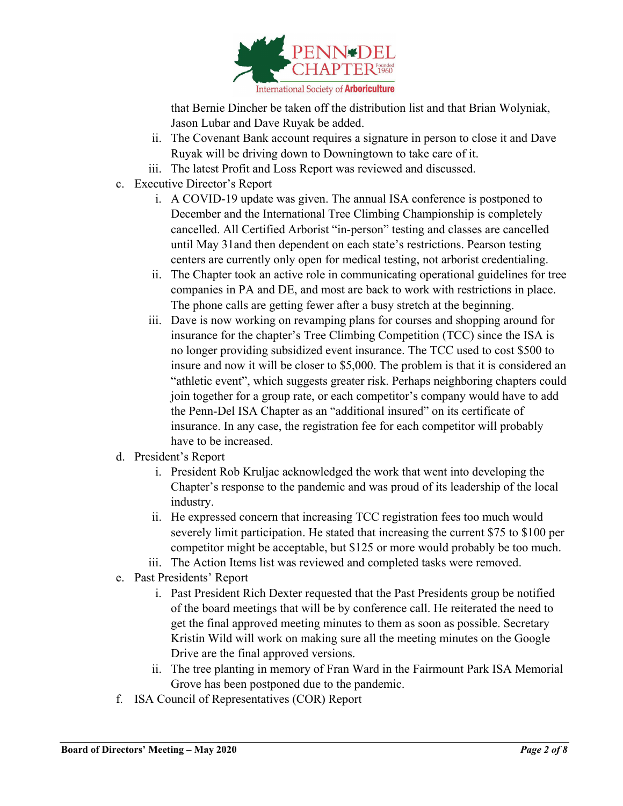

that Bernie Dincher be taken off the distribution list and that Brian Wolyniak, Jason Lubar and Dave Ruyak be added.

- ii. The Covenant Bank account requires a signature in person to close it and Dave Ruyak will be driving down to Downingtown to take care of it.
- iii. The latest Profit and Loss Report was reviewed and discussed.
- c. Executive Director's Report
	- i. A COVID-19 update was given. The annual ISA conference is postponed to December and the International Tree Climbing Championship is completely cancelled. All Certified Arborist "in-person" testing and classes are cancelled until May 31and then dependent on each state's restrictions. Pearson testing centers are currently only open for medical testing, not arborist credentialing.
	- ii. The Chapter took an active role in communicating operational guidelines for tree companies in PA and DE, and most are back to work with restrictions in place. The phone calls are getting fewer after a busy stretch at the beginning.
	- iii. Dave is now working on revamping plans for courses and shopping around for insurance for the chapter's Tree Climbing Competition (TCC) since the ISA is no longer providing subsidized event insurance. The TCC used to cost \$500 to insure and now it will be closer to \$5,000. The problem is that it is considered an "athletic event", which suggests greater risk. Perhaps neighboring chapters could join together for a group rate, or each competitor's company would have to add the Penn-Del ISA Chapter as an "additional insured" on its certificate of insurance. In any case, the registration fee for each competitor will probably have to be increased.
- d. President's Report
	- i. President Rob Kruljac acknowledged the work that went into developing the Chapter's response to the pandemic and was proud of its leadership of the local industry.
	- ii. He expressed concern that increasing TCC registration fees too much would severely limit participation. He stated that increasing the current \$75 to \$100 per competitor might be acceptable, but \$125 or more would probably be too much.
	- iii. The Action Items list was reviewed and completed tasks were removed.
- e. Past Presidents' Report
	- i. Past President Rich Dexter requested that the Past Presidents group be notified of the board meetings that will be by conference call. He reiterated the need to get the final approved meeting minutes to them as soon as possible. Secretary Kristin Wild will work on making sure all the meeting minutes on the Google Drive are the final approved versions.
	- ii. The tree planting in memory of Fran Ward in the Fairmount Park ISA Memorial Grove has been postponed due to the pandemic.
- f. ISA Council of Representatives (COR) Report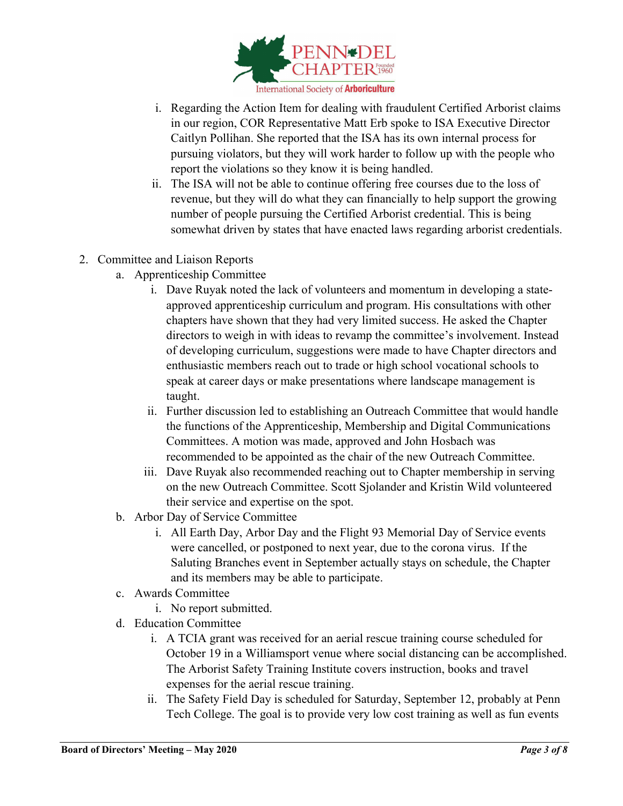

- i. Regarding the Action Item for dealing with fraudulent Certified Arborist claims in our region, COR Representative Matt Erb spoke to ISA Executive Director Caitlyn Pollihan. She reported that the ISA has its own internal process for pursuing violators, but they will work harder to follow up with the people who report the violations so they know it is being handled.
- ii. The ISA will not be able to continue offering free courses due to the loss of revenue, but they will do what they can financially to help support the growing number of people pursuing the Certified Arborist credential. This is being somewhat driven by states that have enacted laws regarding arborist credentials.
- 2. Committee and Liaison Reports
	- a. Apprenticeship Committee
		- i. Dave Ruyak noted the lack of volunteers and momentum in developing a stateapproved apprenticeship curriculum and program. His consultations with other chapters have shown that they had very limited success. He asked the Chapter directors to weigh in with ideas to revamp the committee's involvement. Instead of developing curriculum, suggestions were made to have Chapter directors and enthusiastic members reach out to trade or high school vocational schools to speak at career days or make presentations where landscape management is taught.
		- ii. Further discussion led to establishing an Outreach Committee that would handle the functions of the Apprenticeship, Membership and Digital Communications Committees. A motion was made, approved and John Hosbach was recommended to be appointed as the chair of the new Outreach Committee.
		- iii. Dave Ruyak also recommended reaching out to Chapter membership in serving on the new Outreach Committee. Scott Sjolander and Kristin Wild volunteered their service and expertise on the spot.
	- b. Arbor Day of Service Committee
		- i. All Earth Day, Arbor Day and the Flight 93 Memorial Day of Service events were cancelled, or postponed to next year, due to the corona virus. If the Saluting Branches event in September actually stays on schedule, the Chapter and its members may be able to participate.
	- c. Awards Committee
		- i. No report submitted.
	- d. Education Committee
		- i. A TCIA grant was received for an aerial rescue training course scheduled for October 19 in a Williamsport venue where social distancing can be accomplished. The Arborist Safety Training Institute covers instruction, books and travel expenses for the aerial rescue training.
		- ii. The Safety Field Day is scheduled for Saturday, September 12, probably at Penn Tech College. The goal is to provide very low cost training as well as fun events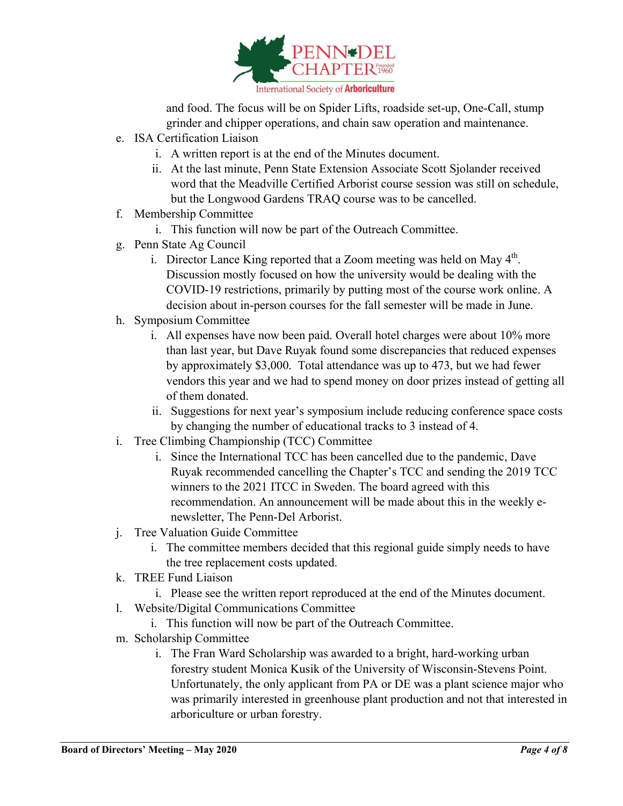

and food. The focus will be on Spider Lifts, roadside set-up, One-Call, stump grinder and chipper operations, and chain saw operation and maintenance.

- e. ISA Certification Liaison
	- i. A written report is at the end of the Minutes document.
	- ii. At the last minute, Penn State Extension Associate Scott Sjolander received word that the Meadville Certified Arborist course session was still on schedule, but the Longwood Gardens TRAQ course was to be cancelled.
- f. Membership Committee
	- i. This function will now be part of the Outreach Committee.
- g. Penn State Ag Council
	- i. Director Lance King reported that a Zoom meeting was held on May  $4<sup>th</sup>$ . Discussion mostly focused on how the university would be dealing with the COVID-19 restrictions, primarily by putting most of the course work online. A decision about in-person courses for the fall semester will be made in June.
- h. Symposium Committee
	- i. All expenses have now been paid. Overall hotel charges were about 10% more than last year, but Dave Ruyak found some discrepancies that reduced expenses by approximately \$3,000. Total attendance was up to 473, but we had fewer vendors this year and we had to spend money on door prizes instead of getting all of them donated.
	- ii. Suggestions for next year's symposium include reducing conference space costs by changing the number of educational tracks to 3 instead of 4.
- i. Tree Climbing Championship (TCC) Committee
	- i. Since the International TCC has been cancelled due to the pandemic, Dave Ruyak recommended cancelling the Chapter's TCC and sending the 2019 TCC winners to the 2021 ITCC in Sweden. The board agreed with this recommendation. An announcement will be made about this in the weekly enewsletter, The Penn-Del Arborist.
- j. Tree Valuation Guide Committee
	- i. The committee members decided that this regional guide simply needs to have the tree replacement costs updated.
- k. TREE Fund Liaison
	- i. Please see the written report reproduced at the end of the Minutes document.
- l. Website/Digital Communications Committee
	- i. This function will now be part of the Outreach Committee.
- m. Scholarship Committee
	- i. The Fran Ward Scholarship was awarded to a bright, hard-working urban forestry student Monica Kusik of the University of Wisconsin-Stevens Point. Unfortunately, the only applicant from PA or DE was a plant science major who was primarily interested in greenhouse plant production and not that interested in arboriculture or urban forestry.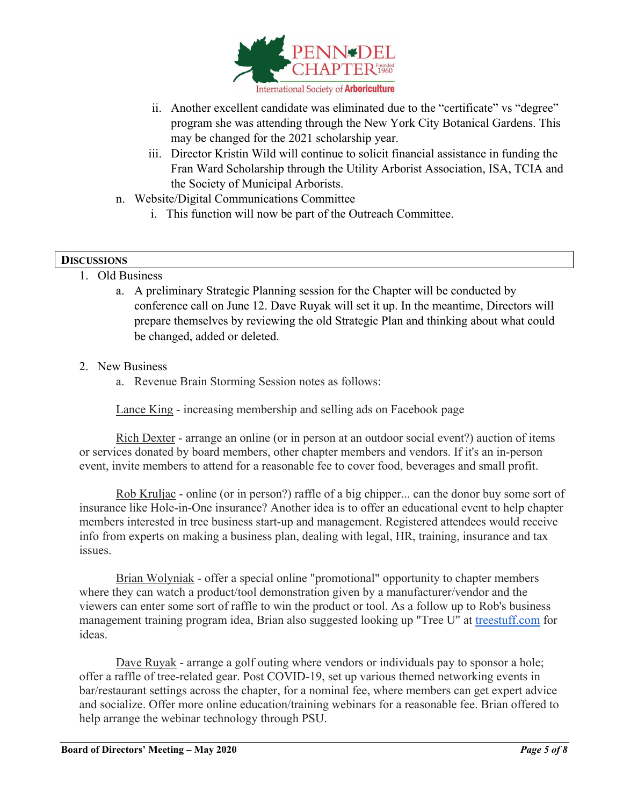

- ii. Another excellent candidate was eliminated due to the "certificate" vs "degree" program she was attending through the New York City Botanical Gardens. This may be changed for the 2021 scholarship year.
- iii. Director Kristin Wild will continue to solicit financial assistance in funding the Fran Ward Scholarship through the Utility Arborist Association, ISA, TCIA and the Society of Municipal Arborists.
- n. Website/Digital Communications Committee
	- i. This function will now be part of the Outreach Committee.

# **DISCUSSIONS**

- 1. Old Business
	- a. A preliminary Strategic Planning session for the Chapter will be conducted by conference call on June 12. Dave Ruyak will set it up. In the meantime, Directors will prepare themselves by reviewing the old Strategic Plan and thinking about what could be changed, added or deleted.
- 2. New Business
	- a. Revenue Brain Storming Session notes as follows:

Lance King - increasing membership and selling ads on Facebook page

Rich Dexter - arrange an online (or in person at an outdoor social event?) auction of items or services donated by board members, other chapter members and vendors. If it's an in-person event, invite members to attend for a reasonable fee to cover food, beverages and small profit.

Rob Kruljac - online (or in person?) raffle of a big chipper... can the donor buy some sort of insurance like Hole-in-One insurance? Another idea is to offer an educational event to help chapter members interested in tree business start-up and management. Registered attendees would receive info from experts on making a business plan, dealing with legal, HR, training, insurance and tax issues.

Brian Wolyniak - offer a special online "promotional" opportunity to chapter members where they can watch a product/tool demonstration given by a manufacturer/vendor and the viewers can enter some sort of raffle to win the product or tool. As a follow up to Rob's business management training program idea, Brian also suggested looking up "Tree U" at [treestuff.com](http://treestuff.com/) for ideas.

Dave Ruyak - arrange a golf outing where vendors or individuals pay to sponsor a hole; offer a raffle of tree-related gear. Post COVID-19, set up various themed networking events in bar/restaurant settings across the chapter, for a nominal fee, where members can get expert advice and socialize. Offer more online education/training webinars for a reasonable fee. Brian offered to help arrange the webinar technology through PSU.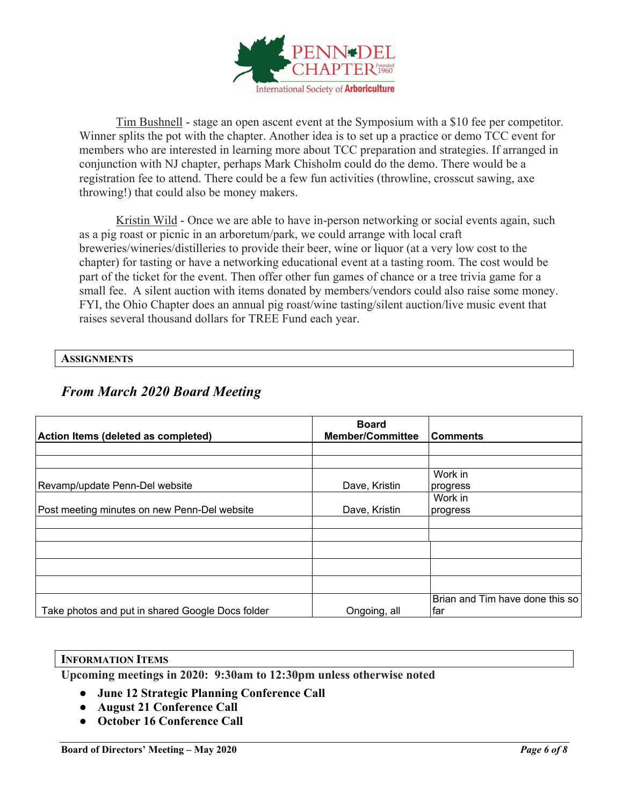

Tim Bushnell - stage an open ascent event at the Symposium with a \$10 fee per competitor. Winner splits the pot with the chapter. Another idea is to set up a practice or demo TCC event for members who are interested in learning more about TCC preparation and strategies. If arranged in conjunction with NJ chapter, perhaps Mark Chisholm could do the demo. There would be a registration fee to attend. There could be a few fun activities (throwline, crosscut sawing, axe throwing!) that could also be money makers.

Kristin Wild - Once we are able to have in-person networking or social events again, such as a pig roast or picnic in an arboretum/park, we could arrange with local craft breweries/wineries/distilleries to provide their beer, wine or liquor (at a very low cost to the chapter) for tasting or have a networking educational event at a tasting room. The cost would be part of the ticket for the event. Then offer other fun games of chance or a tree trivia game for a small fee. A silent auction with items donated by members/vendors could also raise some money. FYI, the Ohio Chapter does an annual pig roast/wine tasting/silent auction/live music event that raises several thousand dollars for TREE Fund each year.

#### **ASSIGNMENTS**

| Action Items (deleted as completed)              | <b>Board</b><br><b>Member/Committee</b> | <b>Comments</b>                        |
|--------------------------------------------------|-----------------------------------------|----------------------------------------|
|                                                  |                                         |                                        |
|                                                  |                                         |                                        |
|                                                  |                                         | Work in                                |
| Revamp/update Penn-Del website                   | Dave, Kristin                           | progress                               |
|                                                  |                                         | Work in                                |
| Post meeting minutes on new Penn-Del website     | Dave, Kristin                           | progress                               |
|                                                  |                                         |                                        |
|                                                  |                                         |                                        |
|                                                  |                                         |                                        |
|                                                  |                                         |                                        |
|                                                  |                                         |                                        |
| Take photos and put in shared Google Docs folder | Ongoing, all                            | Brian and Tim have done this so<br>far |

# *From March 2020 Board Meeting*

#### **INFORMATION ITEMS**

**Upcoming meetings in 2020: 9:30am to 12:30pm unless otherwise noted** 

- **June 12 Strategic Planning Conference Call**
- **August 21 Conference Call**
- **October 16 Conference Call**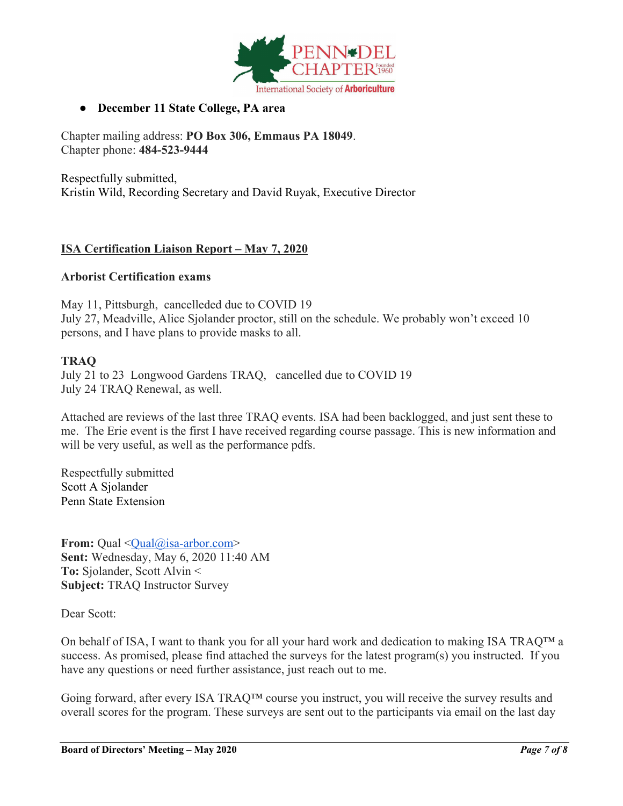

# ● **December 11 State College, PA area**

Chapter mailing address: **PO Box 306, Emmaus PA 18049**. Chapter phone: **484-523-9444**

Respectfully submitted, Kristin Wild, Recording Secretary and David Ruyak, Executive Director

# **ISA Certification Liaison Report – May 7, 2020**

### **Arborist Certification exams**

May 11, Pittsburgh, cancelleded due to COVID 19 July 27, Meadville, Alice Sjolander proctor, still on the schedule. We probably won't exceed 10 persons, and I have plans to provide masks to all.

# **TRAQ**

July 21 to 23 Longwood Gardens TRAQ, cancelled due to COVID 19 July 24 TRAQ Renewal, as well.

Attached are reviews of the last three TRAQ events. ISA had been backlogged, and just sent these to me. The Erie event is the first I have received regarding course passage. This is new information and will be very useful, as well as the performance pdfs.

Respectfully submitted Scott A Sjolander Penn State Extension

**From:** Qual [<Qual@isa-arbor.com>](mailto:Qual@isa-arbor.com) **Sent:** Wednesday, May 6, 2020 11:40 AM **To:** Sjolander, Scott Alvin < **Subject:** TRAQ Instructor Survey

Dear Scott:

On behalf of ISA, I want to thank you for all your hard work and dedication to making ISA TRAQ<sup>™</sup> a success. As promised, please find attached the surveys for the latest program(s) you instructed. If you have any questions or need further assistance, just reach out to me.

Going forward, after every ISA TRAQ™ course you instruct, you will receive the survey results and overall scores for the program. These surveys are sent out to the participants via email on the last day